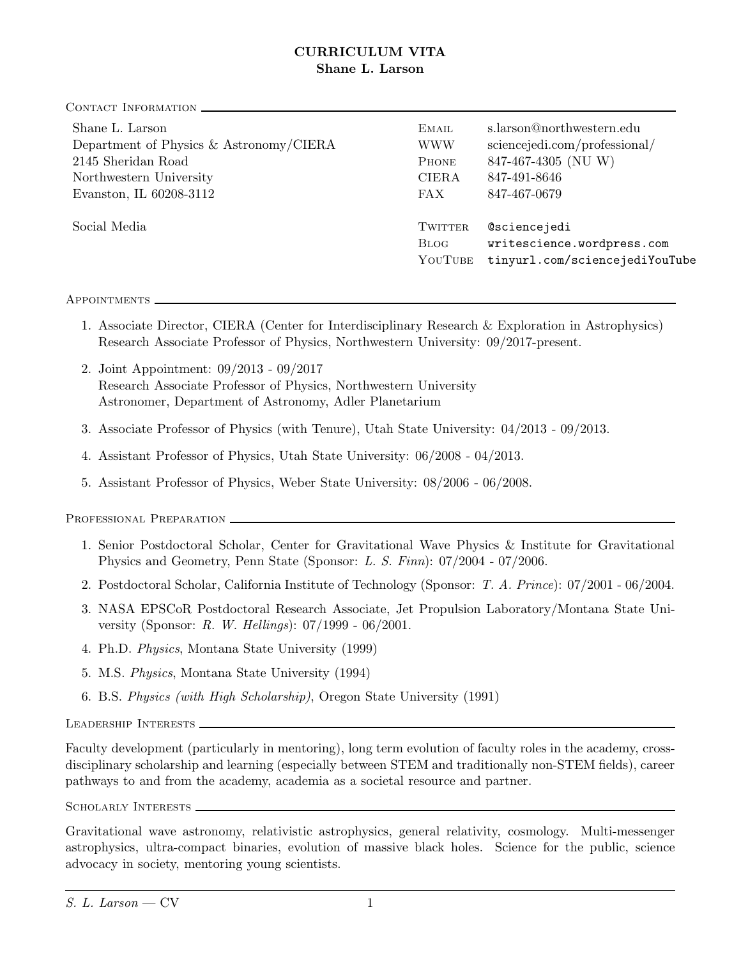## CURRICULUM VITA Shane L. Larson

CONTACT INFORMATION  $-$ 

| Shane L. Larson                         | EMAIL                                    | s.larson@northwestern.edu                                                           |
|-----------------------------------------|------------------------------------------|-------------------------------------------------------------------------------------|
| Department of Physics & Astronomy/CIERA | <b>WWW</b>                               | sciencejedi.com/professional/                                                       |
| 2145 Sheridan Road                      | <b>PHONE</b>                             | 847-467-4305 (NU W)                                                                 |
| Northwestern University                 | <b>CIERA</b>                             | 847-491-8646                                                                        |
| Evanston, IL 60208-3112                 | FA X                                     | 847-467-0679                                                                        |
| Social Media                            | <b>TWITTER</b><br><b>BLOG</b><br>YOUTUBE | <b>@sciencejedi</b><br>writescience.wordpress.com<br>tinyurl.com/sciencejediYouTube |

APPOINTMENTS \_

- 1. Associate Director, CIERA (Center for Interdisciplinary Research & Exploration in Astrophysics) Research Associate Professor of Physics, Northwestern University: 09/2017-present.
- 2. Joint Appointment: 09/2013 09/2017 Research Associate Professor of Physics, Northwestern University Astronomer, Department of Astronomy, Adler Planetarium
- 3. Associate Professor of Physics (with Tenure), Utah State University: 04/2013 09/2013.
- 4. Assistant Professor of Physics, Utah State University: 06/2008 04/2013.
- 5. Assistant Professor of Physics, Weber State University: 08/2006 06/2008.

Professional Preparation

- 1. Senior Postdoctoral Scholar, Center for Gravitational Wave Physics & Institute for Gravitational Physics and Geometry, Penn State (Sponsor: L. S. Finn): 07/2004 - 07/2006.
- 2. Postdoctoral Scholar, California Institute of Technology (Sponsor: T. A. Prince): 07/2001 06/2004.
- 3. NASA EPSCoR Postdoctoral Research Associate, Jet Propulsion Laboratory/Montana State University (Sponsor: R. W. Hellings): 07/1999 - 06/2001.
- 4. Ph.D. Physics, Montana State University (1999)
- 5. M.S. Physics, Montana State University (1994)
- 6. B.S. Physics (with High Scholarship), Oregon State University (1991)

LEADERSHIP INTERESTS

Faculty development (particularly in mentoring), long term evolution of faculty roles in the academy, crossdisciplinary scholarship and learning (especially between STEM and traditionally non-STEM fields), career pathways to and from the academy, academia as a societal resource and partner.

SCHOLARLY INTERESTS  $-$ 

Gravitational wave astronomy, relativistic astrophysics, general relativity, cosmology. Multi-messenger astrophysics, ultra-compact binaries, evolution of massive black holes. Science for the public, science advocacy in society, mentoring young scientists.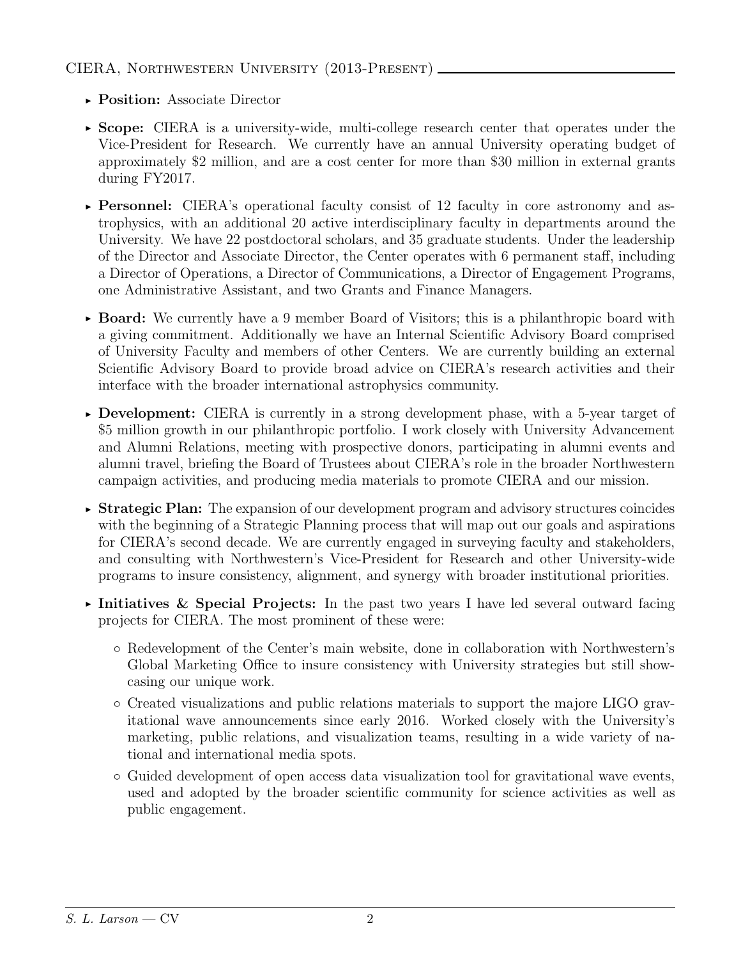# CIERA, Northwestern University (2013-Present)

- ► Position: Associate Director
- ► Scope: CIERA is a university-wide, multi-college research center that operates under the Vice-President for Research. We currently have an annual University operating budget of approximately \$2 million, and are a cost center for more than \$30 million in external grants during FY2017.
- ► Personnel: CIERA's operational faculty consist of 12 faculty in core astronomy and astrophysics, with an additional 20 active interdisciplinary faculty in departments around the University. We have 22 postdoctoral scholars, and 35 graduate students. Under the leadership of the Director and Associate Director, the Center operates with 6 permanent staff, including a Director of Operations, a Director of Communications, a Director of Engagement Programs, one Administrative Assistant, and two Grants and Finance Managers.
- ► Board: We currently have a 9 member Board of Visitors; this is a philanthropic board with a giving commitment. Additionally we have an Internal Scientific Advisory Board comprised of University Faculty and members of other Centers. We are currently building an external Scientific Advisory Board to provide broad advice on CIERA's research activities and their interface with the broader international astrophysics community.
- ► Development: CIERA is currently in a strong development phase, with a 5-year target of \$5 million growth in our philanthropic portfolio. I work closely with University Advancement and Alumni Relations, meeting with prospective donors, participating in alumni events and alumni travel, briefing the Board of Trustees about CIERA's role in the broader Northwestern campaign activities, and producing media materials to promote CIERA and our mission.
- ► Strategic Plan: The expansion of our development program and advisory structures coincides with the beginning of a Strategic Planning process that will map out our goals and aspirations for CIERA's second decade. We are currently engaged in surveying faculty and stakeholders, and consulting with Northwestern's Vice-President for Research and other University-wide programs to insure consistency, alignment, and synergy with broader institutional priorities.
- Initiatives & Special Projects: In the past two years I have led several outward facing projects for CIERA. The most prominent of these were:
	- Redevelopment of the Center's main website, done in collaboration with Northwestern's Global Marketing Office to insure consistency with University strategies but still showcasing our unique work.
	- Created visualizations and public relations materials to support the majore LIGO gravitational wave announcements since early 2016. Worked closely with the University's marketing, public relations, and visualization teams, resulting in a wide variety of national and international media spots.
	- Guided development of open access data visualization tool for gravitational wave events, used and adopted by the broader scientific community for science activities as well as public engagement.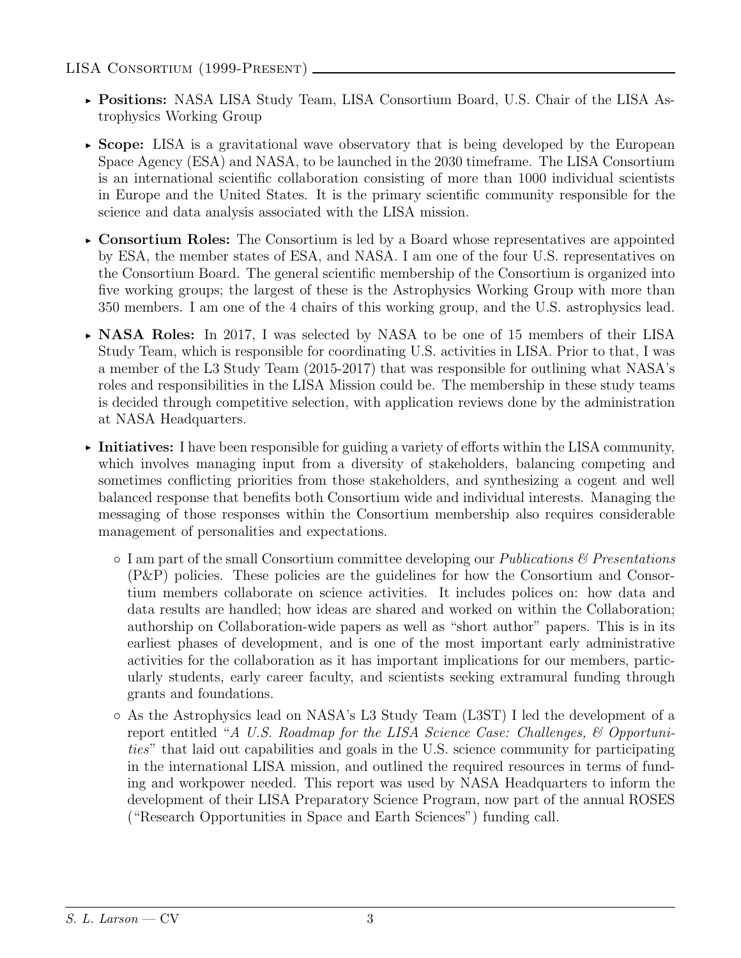- ► Positions: NASA LISA Study Team, LISA Consortium Board, U.S. Chair of the LISA Astrophysics Working Group
- $\triangleright$  Scope: LISA is a gravitational wave observatory that is being developed by the European Space Agency (ESA) and NASA, to be launched in the 2030 timeframe. The LISA Consortium is an international scientific collaboration consisting of more than 1000 individual scientists in Europe and the United States. It is the primary scientific community responsible for the science and data analysis associated with the LISA mission.
- ► Consortium Roles: The Consortium is led by a Board whose representatives are appointed by ESA, the member states of ESA, and NASA. I am one of the four U.S. representatives on the Consortium Board. The general scientific membership of the Consortium is organized into five working groups; the largest of these is the Astrophysics Working Group with more than 350 members. I am one of the 4 chairs of this working group, and the U.S. astrophysics lead.
- ► NASA Roles: In 2017, I was selected by NASA to be one of 15 members of their LISA Study Team, which is responsible for coordinating U.S. activities in LISA. Prior to that, I was a member of the L3 Study Team (2015-2017) that was responsible for outlining what NASA's roles and responsibilities in the LISA Mission could be. The membership in these study teams is decided through competitive selection, with application reviews done by the administration at NASA Headquarters.
- $\triangleright$  Initiatives: I have been responsible for guiding a variety of efforts within the LISA community, which involves managing input from a diversity of stakeholders, balancing competing and sometimes conflicting priorities from those stakeholders, and synthesizing a cogent and well balanced response that benefits both Consortium wide and individual interests. Managing the messaging of those responses within the Consortium membership also requires considerable management of personalities and expectations.
	- I am part of the small Consortium committee developing our *Publications & Presentations* (P&P) policies. These policies are the guidelines for how the Consortium and Consortium members collaborate on science activities. It includes polices on: how data and data results are handled; how ideas are shared and worked on within the Collaboration; authorship on Collaboration-wide papers as well as "short author" papers. This is in its earliest phases of development, and is one of the most important early administrative activities for the collaboration as it has important implications for our members, particularly students, early career faculty, and scientists seeking extramural funding through grants and foundations.
	- As the Astrophysics lead on NASA's L3 Study Team (L3ST) I led the development of a report entitled "*A U.S. Roadmap for the LISA Science Case: Challenges, & Opportunities*" that laid out capabilities and goals in the U.S. science community for participating in the international LISA mission, and outlined the required resources in terms of funding and workpower needed. This report was used by NASA Headquarters to inform the development of their LISA Preparatory Science Program, now part of the annual ROSES ("Research Opportunities in Space and Earth Sciences") funding call.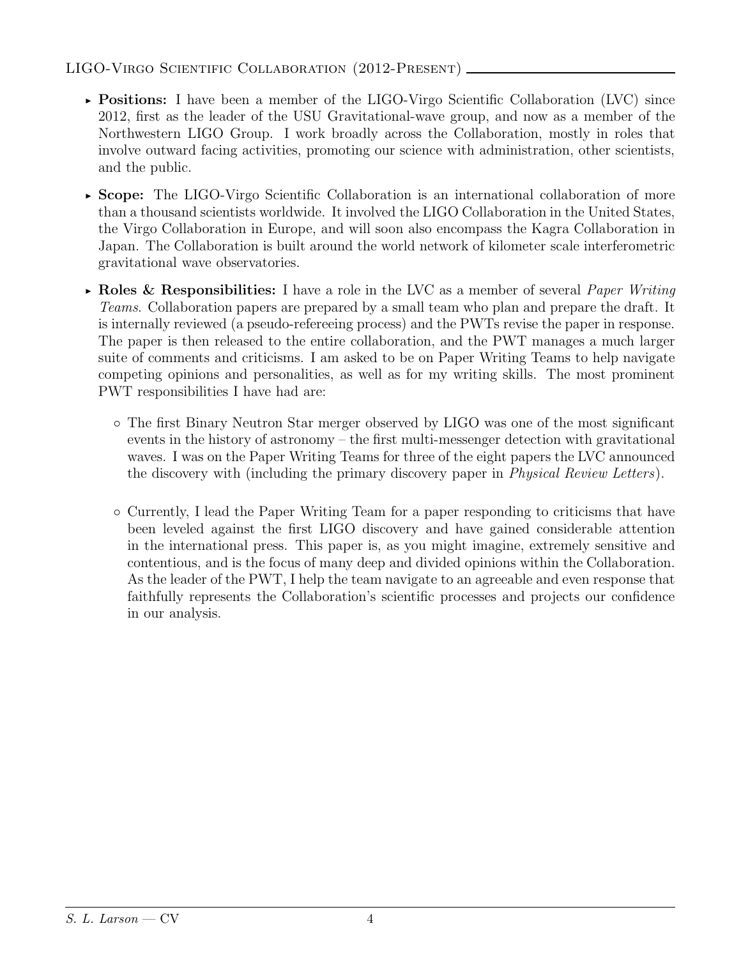# LIGO-Virgo Scientific Collaboration (2012-Present)

- ► Positions: I have been a member of the LIGO-Virgo Scientific Collaboration (LVC) since 2012, first as the leader of the USU Gravitational-wave group, and now as a member of the Northwestern LIGO Group. I work broadly across the Collaboration, mostly in roles that involve outward facing activities, promoting our science with administration, other scientists, and the public.
- ► Scope: The LIGO-Virgo Scientific Collaboration is an international collaboration of more than a thousand scientists worldwide. It involved the LIGO Collaboration in the United States, the Virgo Collaboration in Europe, and will soon also encompass the Kagra Collaboration in Japan. The Collaboration is built around the world network of kilometer scale interferometric gravitational wave observatories.
- ► Roles & Responsibilities: I have a role in the LVC as a member of several *Paper Writing Teams*. Collaboration papers are prepared by a small team who plan and prepare the draft. It is internally reviewed (a pseudo-refereeing process) and the PWTs revise the paper in response. The paper is then released to the entire collaboration, and the PWT manages a much larger suite of comments and criticisms. I am asked to be on Paper Writing Teams to help navigate competing opinions and personalities, as well as for my writing skills. The most prominent PWT responsibilities I have had are:
	- The first Binary Neutron Star merger observed by LIGO was one of the most significant events in the history of astronomy – the first multi-messenger detection with gravitational waves. I was on the Paper Writing Teams for three of the eight papers the LVC announced the discovery with (including the primary discovery paper in *Physical Review Letters*).
	- Currently, I lead the Paper Writing Team for a paper responding to criticisms that have been leveled against the first LIGO discovery and have gained considerable attention in the international press. This paper is, as you might imagine, extremely sensitive and contentious, and is the focus of many deep and divided opinions within the Collaboration. As the leader of the PWT, I help the team navigate to an agreeable and even response that faithfully represents the Collaboration's scientific processes and projects our confidence in our analysis.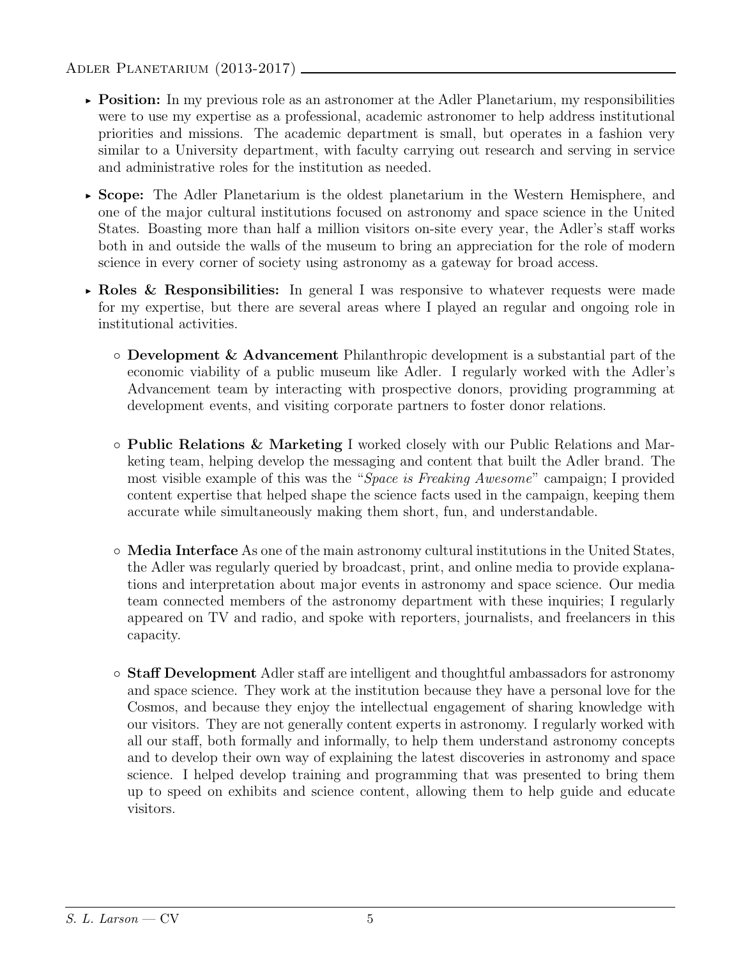- ► Position: In my previous role as an astronomer at the Adler Planetarium, my responsibilities were to use my expertise as a professional, academic astronomer to help address institutional priorities and missions. The academic department is small, but operates in a fashion very similar to a University department, with faculty carrying out research and serving in service and administrative roles for the institution as needed.
- ► Scope: The Adler Planetarium is the oldest planetarium in the Western Hemisphere, and one of the major cultural institutions focused on astronomy and space science in the United States. Boasting more than half a million visitors on-site every year, the Adler's staff works both in and outside the walls of the museum to bring an appreciation for the role of modern science in every corner of society using astronomy as a gateway for broad access.
- $\triangleright$  Roles & Responsibilities: In general I was responsive to whatever requests were made for my expertise, but there are several areas where I played an regular and ongoing role in institutional activities.
	- $\circ$  Development & Advancement Philanthropic development is a substantial part of the economic viability of a public museum like Adler. I regularly worked with the Adler's Advancement team by interacting with prospective donors, providing programming at development events, and visiting corporate partners to foster donor relations.
	- Public Relations & Marketing I worked closely with our Public Relations and Marketing team, helping develop the messaging and content that built the Adler brand. The most visible example of this was the "*Space is Freaking Awesome*" campaign; I provided content expertise that helped shape the science facts used in the campaign, keeping them accurate while simultaneously making them short, fun, and understandable.
	- Media Interface As one of the main astronomy cultural institutions in the United States, the Adler was regularly queried by broadcast, print, and online media to provide explanations and interpretation about major events in astronomy and space science. Our media team connected members of the astronomy department with these inquiries; I regularly appeared on TV and radio, and spoke with reporters, journalists, and freelancers in this capacity.
	- Staff Development Adler staff are intelligent and thoughtful ambassadors for astronomy and space science. They work at the institution because they have a personal love for the Cosmos, and because they enjoy the intellectual engagement of sharing knowledge with our visitors. They are not generally content experts in astronomy. I regularly worked with all our staff, both formally and informally, to help them understand astronomy concepts and to develop their own way of explaining the latest discoveries in astronomy and space science. I helped develop training and programming that was presented to bring them up to speed on exhibits and science content, allowing them to help guide and educate visitors.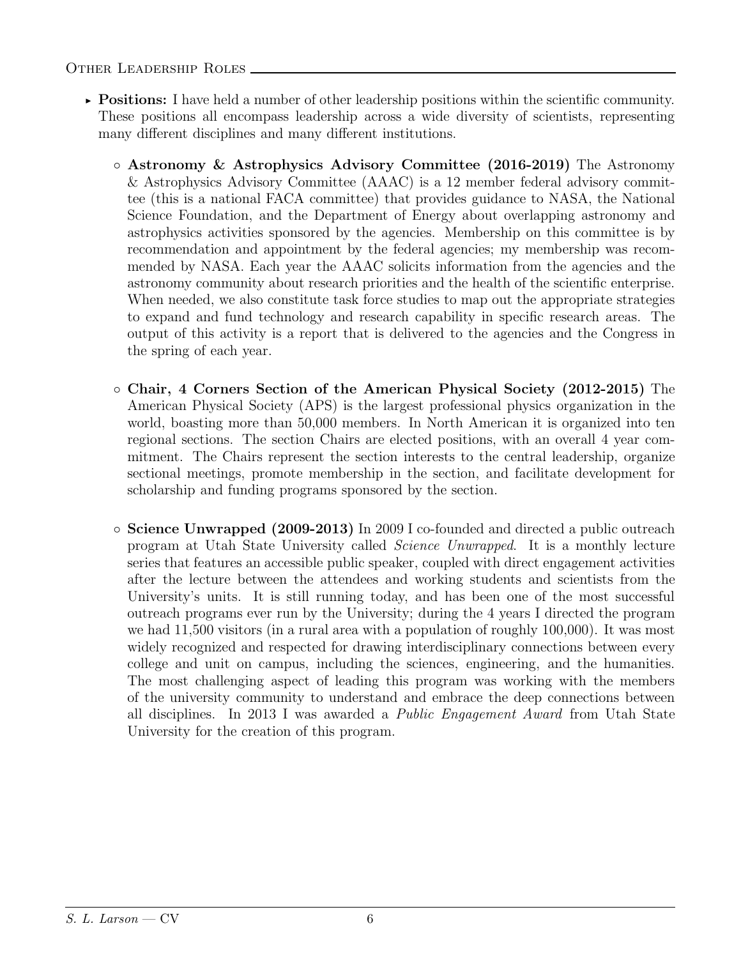## Other Leadership Roles

- ► Positions: I have held a number of other leadership positions within the scientific community. These positions all encompass leadership across a wide diversity of scientists, representing many different disciplines and many different institutions.
	- Astronomy & Astrophysics Advisory Committee (2016-2019) The Astronomy & Astrophysics Advisory Committee (AAAC) is a 12 member federal advisory committee (this is a national FACA committee) that provides guidance to NASA, the National Science Foundation, and the Department of Energy about overlapping astronomy and astrophysics activities sponsored by the agencies. Membership on this committee is by recommendation and appointment by the federal agencies; my membership was recommended by NASA. Each year the AAAC solicits information from the agencies and the astronomy community about research priorities and the health of the scientific enterprise. When needed, we also constitute task force studies to map out the appropriate strategies to expand and fund technology and research capability in specific research areas. The output of this activity is a report that is delivered to the agencies and the Congress in the spring of each year.
	- Chair, 4 Corners Section of the American Physical Society (2012-2015) The American Physical Society (APS) is the largest professional physics organization in the world, boasting more than 50,000 members. In North American it is organized into ten regional sections. The section Chairs are elected positions, with an overall 4 year commitment. The Chairs represent the section interests to the central leadership, organize sectional meetings, promote membership in the section, and facilitate development for scholarship and funding programs sponsored by the section.
	- Science Unwrapped (2009-2013) In 2009 I co-founded and directed a public outreach program at Utah State University called *Science Unwrapped*. It is a monthly lecture series that features an accessible public speaker, coupled with direct engagement activities after the lecture between the attendees and working students and scientists from the University's units. It is still running today, and has been one of the most successful outreach programs ever run by the University; during the 4 years I directed the program we had 11,500 visitors (in a rural area with a population of roughly 100,000). It was most widely recognized and respected for drawing interdisciplinary connections between every college and unit on campus, including the sciences, engineering, and the humanities. The most challenging aspect of leading this program was working with the members of the university community to understand and embrace the deep connections between all disciplines. In 2013 I was awarded a *Public Engagement Award* from Utah State University for the creation of this program.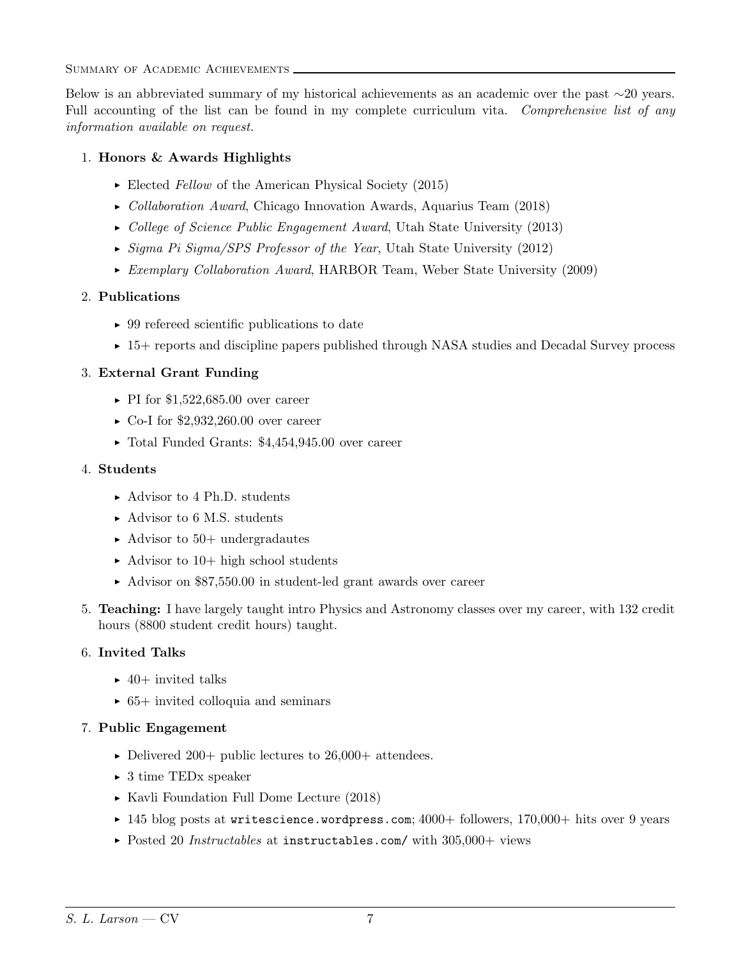#### SUMMARY OF ACADEMIC ACHIEVEMENTS

Below is an abbreviated summary of my historical achievements as an academic over the past ∼20 years. Full accounting of the list can be found in my complete curriculum vita. Comprehensive list of any information available on request.

## 1. Honors & Awards Highlights

- $\blacktriangleright$  Elected Fellow of the American Physical Society (2015)
- ► Collaboration Award, Chicago Innovation Awards, Aquarius Team (2018)
- $\triangleright$  College of Science Public Engagement Award, Utah State University (2013)
- $\triangleright$  Sigma Pi Sigma/SPS Professor of the Year, Utah State University (2012)
- ► Exemplary Collaboration Award, HARBOR Team, Weber State University (2009)

## 2. Publications

- $\rightarrow$  99 referred scientific publications to date
- $\triangleright$  15+ reports and discipline papers published through NASA studies and Decadal Survey process

## 3. External Grant Funding

- $\blacktriangleright$  PI for \$1,522,685.00 over career
- $\triangleright$  Co-I for \$2,932,260.00 over career
- ► Total Funded Grants: \$4,454,945.00 over career

### 4. Students

- $\blacktriangleright$  Advisor to 4 Ph.D. students
- $\blacktriangleright$  Advisor to 6 M.S. students
- $\blacktriangleright$  Advisor to 50+ undergradautes
- $\blacktriangleright$  Advisor to 10+ high school students
- ► Advisor on \$87,550.00 in student-led grant awards over career
- 5. Teaching: I have largely taught intro Physics and Astronomy classes over my career, with 132 credit hours (8800 student credit hours) taught.

## 6. Invited Talks

- $\blacktriangleright$  40+ invited talks
- $\triangleright$  65+ invited colloquia and seminars

### 7. Public Engagement

- $\blacktriangleright$  Delivered 200+ public lectures to 26,000+ attendees.
- ► 3 time TED<sub>x</sub> speaker
- ► Kavli Foundation Full Dome Lecture (2018)
- $\blacktriangleright$  145 blog posts at writescience.wordpress.com; 4000+ followers, 170,000+ hits over 9 years
- $\blacktriangleright$  Posted 20 Instructables at instructables.com/ with 305,000+ views